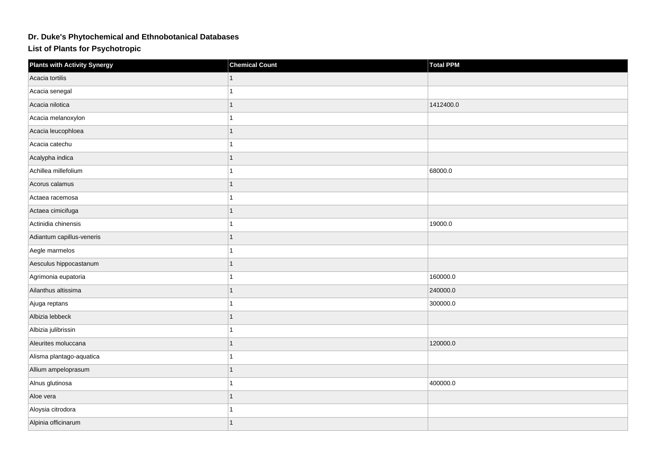## **Dr. Duke's Phytochemical and Ethnobotanical Databases**

**List of Plants for Psychotropic**

| <b>Plants with Activity Synergy</b> | <b>Chemical Count</b> | Total PPM |
|-------------------------------------|-----------------------|-----------|
| Acacia tortilis                     |                       |           |
| Acacia senegal                      |                       |           |
| Acacia nilotica                     | 1                     | 1412400.0 |
| Acacia melanoxylon                  |                       |           |
| Acacia leucophloea                  | 1                     |           |
| Acacia catechu                      | 1                     |           |
| Acalypha indica                     | 1                     |           |
| Achillea millefolium                | 1                     | 68000.0   |
| Acorus calamus                      | 1                     |           |
| Actaea racemosa                     | 1                     |           |
| Actaea cimicifuga                   | 1                     |           |
| Actinidia chinensis                 |                       | 19000.0   |
| Adiantum capillus-veneris           |                       |           |
| Aegle marmelos                      | 1                     |           |
| Aesculus hippocastanum              | 1                     |           |
| Agrimonia eupatoria                 | 1                     | 160000.0  |
| Ailanthus altissima                 | 1                     | 240000.0  |
| Ajuga reptans                       |                       | 300000.0  |
| Albizia lebbeck                     | 1                     |           |
| Albizia julibrissin                 |                       |           |
| Aleurites moluccana                 |                       | 120000.0  |
| Alisma plantago-aquatica            | 1                     |           |
| Allium ampeloprasum                 | 1                     |           |
| Alnus glutinosa                     | 1                     | 400000.0  |
| Aloe vera                           | 1                     |           |
| Aloysia citrodora                   | 1                     |           |
| Alpinia officinarum                 | 1                     |           |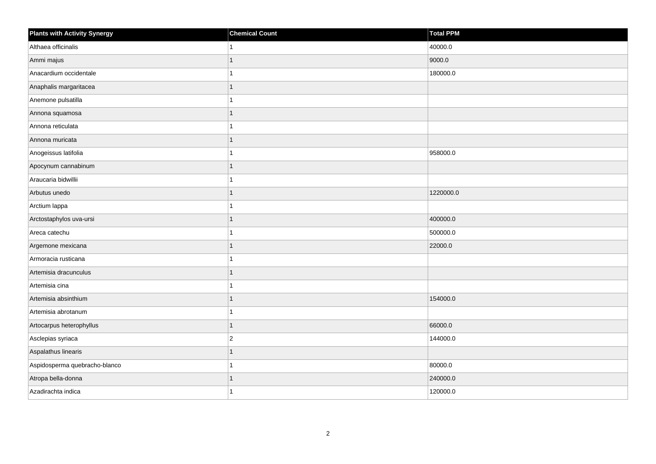| <b>Plants with Activity Synergy</b> | <b>Chemical Count</b> | Total PPM |
|-------------------------------------|-----------------------|-----------|
| Althaea officinalis                 | 1                     | 40000.0   |
| Ammi majus                          | 1                     | 9000.0    |
| Anacardium occidentale              | 1                     | 180000.0  |
| Anaphalis margaritacea              | 1                     |           |
| Anemone pulsatilla                  | 1                     |           |
| Annona squamosa                     | 1                     |           |
| Annona reticulata                   | 1                     |           |
| Annona muricata                     | 1                     |           |
| Anogeissus latifolia                | 1                     | 958000.0  |
| Apocynum cannabinum                 | 1                     |           |
| Araucaria bidwillii                 | 1                     |           |
| Arbutus unedo                       |                       | 1220000.0 |
| Arctium lappa                       | 1                     |           |
| Arctostaphylos uva-ursi             | 1                     | 400000.0  |
| Areca catechu                       |                       | 500000.0  |
| Argemone mexicana                   | 1                     | 22000.0   |
| Armoracia rusticana                 | 1                     |           |
| Artemisia dracunculus               | 1                     |           |
| Artemisia cina                      | $\mathbf{1}$          |           |
| Artemisia absinthium                | 1                     | 154000.0  |
| Artemisia abrotanum                 | 1                     |           |
| Artocarpus heterophyllus            | 1                     | 66000.0   |
| Asclepias syriaca                   | $ 2\rangle$           | 144000.0  |
| Aspalathus linearis                 | 1                     |           |
| Aspidosperma quebracho-blanco       | 1                     | 80000.0   |
| Atropa bella-donna                  |                       | 240000.0  |
| Azadirachta indica                  | 1                     | 120000.0  |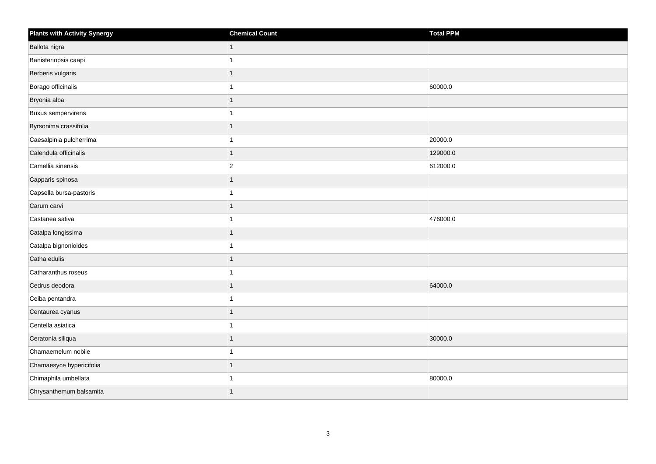| <b>Plants with Activity Synergy</b> | <b>Chemical Count</b> | Total PPM |
|-------------------------------------|-----------------------|-----------|
| Ballota nigra                       |                       |           |
| Banisteriopsis caapi                |                       |           |
| Berberis vulgaris                   |                       |           |
| Borago officinalis                  |                       | 60000.0   |
| Bryonia alba                        |                       |           |
| <b>Buxus sempervirens</b>           |                       |           |
| Byrsonima crassifolia               |                       |           |
| Caesalpinia pulcherrima             |                       | 20000.0   |
| Calendula officinalis               |                       | 129000.0  |
| Camellia sinensis                   | $\overline{2}$        | 612000.0  |
| Capparis spinosa                    |                       |           |
| Capsella bursa-pastoris             |                       |           |
| Carum carvi                         | 1                     |           |
| Castanea sativa                     |                       | 476000.0  |
| Catalpa longissima                  |                       |           |
| Catalpa bignonioides                |                       |           |
| Catha edulis                        |                       |           |
| Catharanthus roseus                 |                       |           |
| Cedrus deodora                      | 1                     | 64000.0   |
| Ceiba pentandra                     |                       |           |
| Centaurea cyanus                    |                       |           |
| Centella asiatica                   |                       |           |
| Ceratonia siliqua                   |                       | 30000.0   |
| Chamaemelum nobile                  |                       |           |
| Chamaesyce hypericifolia            | 1                     |           |
| Chimaphila umbellata                |                       | 80000.0   |
| Chrysanthemum balsamita             |                       |           |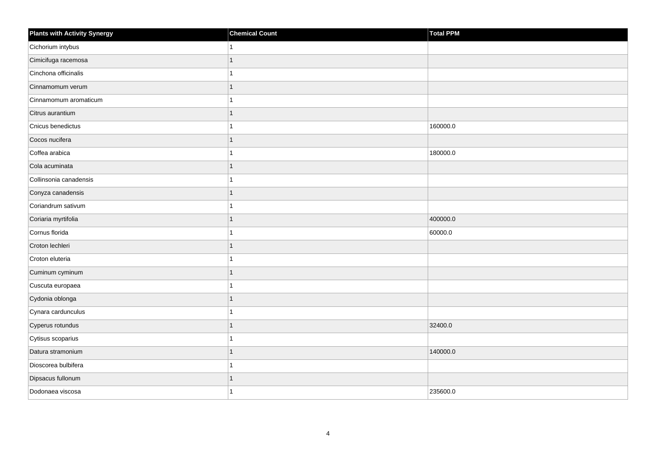| <b>Plants with Activity Synergy</b> | <b>Chemical Count</b> | Total PPM |
|-------------------------------------|-----------------------|-----------|
| Cichorium intybus                   |                       |           |
| Cimicifuga racemosa                 |                       |           |
| Cinchona officinalis                |                       |           |
| Cinnamomum verum                    |                       |           |
| Cinnamomum aromaticum               |                       |           |
| Citrus aurantium                    |                       |           |
| Cnicus benedictus                   |                       | 160000.0  |
| Cocos nucifera                      |                       |           |
| Coffea arabica                      |                       | 180000.0  |
| Cola acuminata                      |                       |           |
| Collinsonia canadensis              |                       |           |
| Conyza canadensis                   |                       |           |
| Coriandrum sativum                  |                       |           |
| Coriaria myrtifolia                 | 1                     | 400000.0  |
| Cornus florida                      |                       | 60000.0   |
| Croton lechleri                     | 1                     |           |
| Croton eluteria                     |                       |           |
| Cuminum cyminum                     |                       |           |
| Cuscuta europaea                    |                       |           |
| Cydonia oblonga                     |                       |           |
| Cynara cardunculus                  |                       |           |
| Cyperus rotundus                    | 1                     | 32400.0   |
| Cytisus scoparius                   |                       |           |
| Datura stramonium                   |                       | 140000.0  |
| Dioscorea bulbifera                 |                       |           |
| Dipsacus fullonum                   |                       |           |
| Dodonaea viscosa                    |                       | 235600.0  |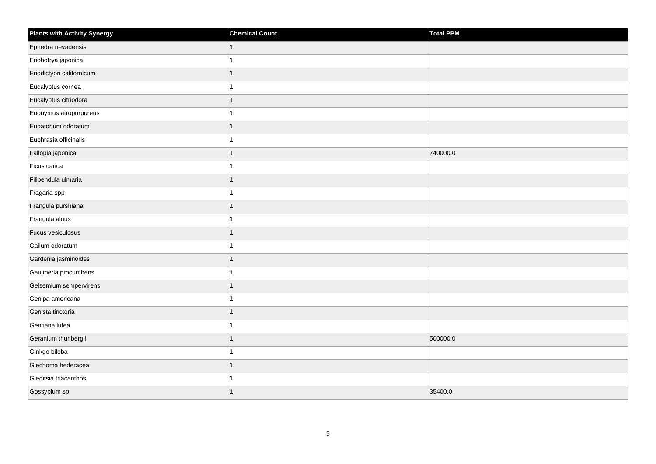| <b>Plants with Activity Synergy</b> | <b>Chemical Count</b> | Total PPM |
|-------------------------------------|-----------------------|-----------|
| Ephedra nevadensis                  | 1                     |           |
| Eriobotrya japonica                 |                       |           |
| Eriodictyon californicum            |                       |           |
| Eucalyptus cornea                   |                       |           |
| Eucalyptus citriodora               |                       |           |
| Euonymus atropurpureus              |                       |           |
| Eupatorium odoratum                 |                       |           |
| Euphrasia officinalis               |                       |           |
| Fallopia japonica                   |                       | 740000.0  |
| Ficus carica                        |                       |           |
| Filipendula ulmaria                 |                       |           |
| Fragaria spp                        |                       |           |
| Frangula purshiana                  | 1                     |           |
| Frangula alnus                      |                       |           |
| Fucus vesiculosus                   |                       |           |
| Galium odoratum                     |                       |           |
| Gardenia jasminoides                |                       |           |
| Gaultheria procumbens               |                       |           |
| Gelsemium sempervirens              | 1                     |           |
| Genipa americana                    |                       |           |
| Genista tinctoria                   |                       |           |
| Gentiana lutea                      |                       |           |
| Geranium thunbergii                 |                       | 500000.0  |
| Ginkgo biloba                       |                       |           |
| Glechoma hederacea                  | 1                     |           |
| Gleditsia triacanthos               |                       |           |
| Gossypium sp                        | 1                     | 35400.0   |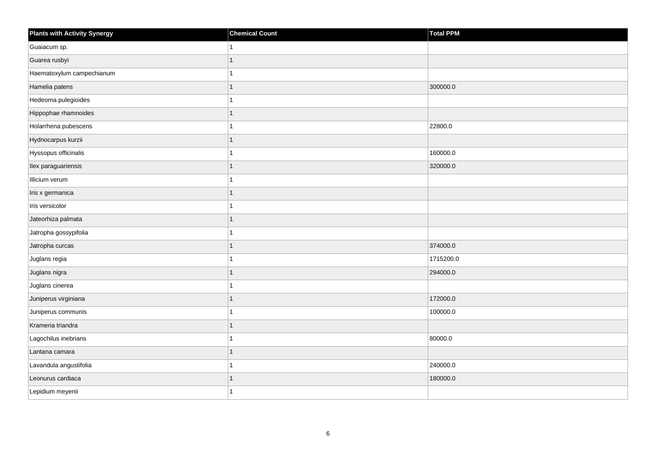| <b>Plants with Activity Synergy</b> | <b>Chemical Count</b> | Total PPM |
|-------------------------------------|-----------------------|-----------|
| Guaiacum sp.                        | 1                     |           |
| Guarea rusbyi                       | 1                     |           |
| Haematoxylum campechianum           |                       |           |
| Hamelia patens                      | $\mathbf{1}$          | 300000.0  |
| Hedeoma pulegioides                 |                       |           |
| Hippophae rhamnoides                |                       |           |
| Holarrhena pubescens                | 1                     | 22800.0   |
| Hydnocarpus kurzii                  | 1                     |           |
| Hyssopus officinalis                |                       | 160000.0  |
| Ilex paraguariensis                 | $\mathbf{1}$          | 320000.0  |
| Illicium verum                      |                       |           |
| Iris x germanica                    |                       |           |
| Iris versicolor                     | $\overline{1}$        |           |
| Jateorhiza palmata                  | 1                     |           |
| Jatropha gossypifolia               |                       |           |
| Jatropha curcas                     | $\mathbf{1}$          | 374000.0  |
| Juglans regia                       |                       | 1715200.0 |
| Juglans nigra                       | 1                     | 294000.0  |
| Juglans cinerea                     | 1                     |           |
| Juniperus virginiana                |                       | 172000.0  |
| Juniperus communis                  |                       | 100000.0  |
| Krameria triandra                   |                       |           |
| Lagochilus inebrians                |                       | 80000.0   |
| Lantana camara                      | 1                     |           |
| Lavandula angustifolia              | 1                     | 240000.0  |
| Leonurus cardiaca                   | 1                     | 180000.0  |
| Lepidium meyenii                    | 1                     |           |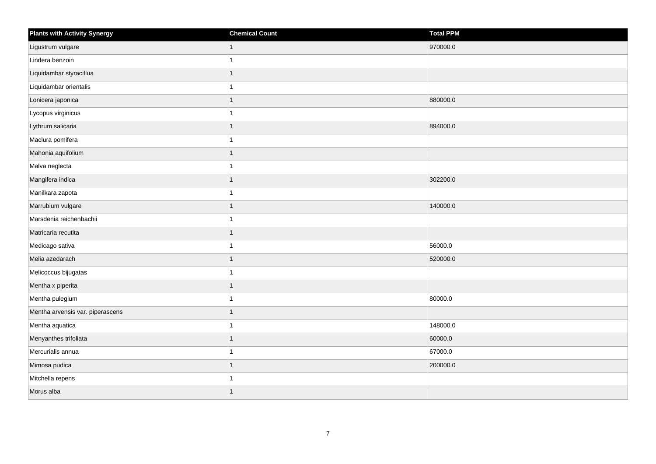| <b>Plants with Activity Synergy</b> | <b>Chemical Count</b> | <b>Total PPM</b> |
|-------------------------------------|-----------------------|------------------|
| Ligustrum vulgare                   |                       | 970000.0         |
| Lindera benzoin                     |                       |                  |
| Liquidambar styraciflua             |                       |                  |
| Liquidambar orientalis              |                       |                  |
| Lonicera japonica                   |                       | 880000.0         |
| Lycopus virginicus                  |                       |                  |
| Lythrum salicaria                   |                       | 894000.0         |
| Maclura pomifera                    |                       |                  |
| Mahonia aquifolium                  |                       |                  |
| Malva neglecta                      |                       |                  |
| Mangifera indica                    |                       | 302200.0         |
| Manilkara zapota                    |                       |                  |
| Marrubium vulgare                   | 1                     | 140000.0         |
| Marsdenia reichenbachii             |                       |                  |
| Matricaria recutita                 |                       |                  |
| Medicago sativa                     |                       | 56000.0          |
| Melia azedarach                     |                       | 520000.0         |
| Melicoccus bijugatas                |                       |                  |
| Mentha x piperita                   | 1                     |                  |
| Mentha pulegium                     |                       | 80000.0          |
| Mentha arvensis var. piperascens    |                       |                  |
| Mentha aquatica                     |                       | 148000.0         |
| Menyanthes trifoliata               |                       | 60000.0          |
| Mercurialis annua                   |                       | 67000.0          |
| Mimosa pudica                       | 1                     | 200000.0         |
| Mitchella repens                    |                       |                  |
| Morus alba                          |                       |                  |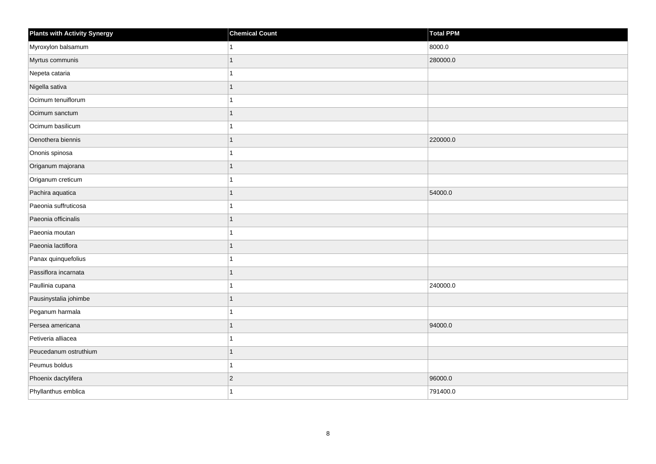| <b>Plants with Activity Synergy</b> | <b>Chemical Count</b> | <b>Total PPM</b> |
|-------------------------------------|-----------------------|------------------|
| Myroxylon balsamum                  | 1                     | 8000.0           |
| Myrtus communis                     | 1                     | 280000.0         |
| Nepeta cataria                      | 1                     |                  |
| Nigella sativa                      | 1                     |                  |
| Ocimum tenuiflorum                  | 1                     |                  |
| Ocimum sanctum                      | $\mathbf{1}$          |                  |
| Ocimum basilicum                    | 1                     |                  |
| Oenothera biennis                   | 1                     | 220000.0         |
| Ononis spinosa                      | $\mathbf{1}$          |                  |
| Origanum majorana                   | $\mathbf{1}$          |                  |
| Origanum creticum                   | 1                     |                  |
| Pachira aquatica                    | $\mathbf{1}$          | 54000.0          |
| Paeonia suffruticosa                | $\mathbf{1}$          |                  |
| Paeonia officinalis                 | 1                     |                  |
| Paeonia moutan                      | 1                     |                  |
| Paeonia lactiflora                  | 1                     |                  |
| Panax quinquefolius                 | 1                     |                  |
| Passiflora incarnata                |                       |                  |
| Paullinia cupana                    | $\overline{1}$        | 240000.0         |
| Pausinystalia johimbe               | 1                     |                  |
| Peganum harmala                     | 1                     |                  |
| Persea americana                    | 1                     | 94000.0          |
| Petiveria alliacea                  | 1                     |                  |
| Peucedanum ostruthium               | 1                     |                  |
| Peumus boldus                       | 1                     |                  |
| Phoenix dactylifera                 | $\vert$ 2             | 96000.0          |
| Phyllanthus emblica                 | 1                     | 791400.0         |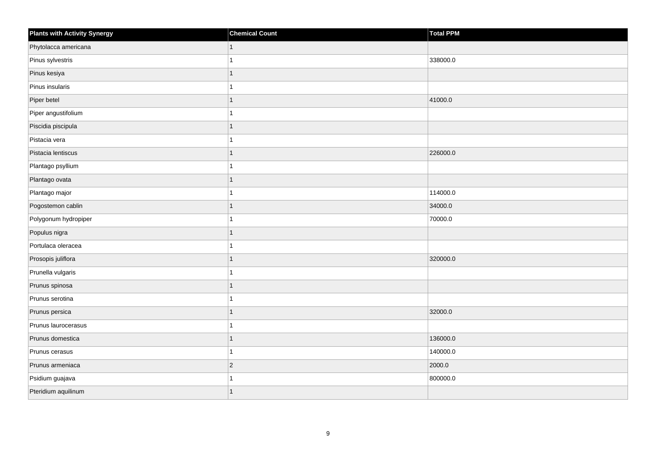| <b>Plants with Activity Synergy</b> | <b>Chemical Count</b> | Total PPM |
|-------------------------------------|-----------------------|-----------|
| Phytolacca americana                | $\mathbf{1}$          |           |
| Pinus sylvestris                    | 1                     | 338000.0  |
| Pinus kesiya                        | $\overline{1}$        |           |
| Pinus insularis                     | 1                     |           |
| Piper betel                         | 1                     | 41000.0   |
| Piper angustifolium                 | 1                     |           |
| Piscidia piscipula                  | $\mathbf{1}$          |           |
| Pistacia vera                       | 1                     |           |
| Pistacia lentiscus                  | 1                     | 226000.0  |
| Plantago psyllium                   | 1                     |           |
| Plantago ovata                      | 1                     |           |
| Plantago major                      | 1                     | 114000.0  |
| Pogostemon cablin                   | $\overline{1}$        | 34000.0   |
| Polygonum hydropiper                | 1                     | 70000.0   |
| Populus nigra                       | $\overline{1}$        |           |
| Portulaca oleracea                  | $\mathbf{1}$          |           |
| Prosopis juliflora                  | 1                     | 320000.0  |
| Prunella vulgaris                   | $\mathbf{1}$          |           |
| Prunus spinosa                      | $\overline{1}$        |           |
| Prunus serotina                     | 1                     |           |
| Prunus persica                      | 1                     | 32000.0   |
| Prunus laurocerasus                 | $\overline{1}$        |           |
| Prunus domestica                    | 1                     | 136000.0  |
| Prunus cerasus                      | 1                     | 140000.0  |
| Prunus armeniaca                    | $ 2\rangle$           | 2000.0    |
| Psidium guajava                     | 1                     | 800000.0  |
| Pteridium aquilinum                 | 1                     |           |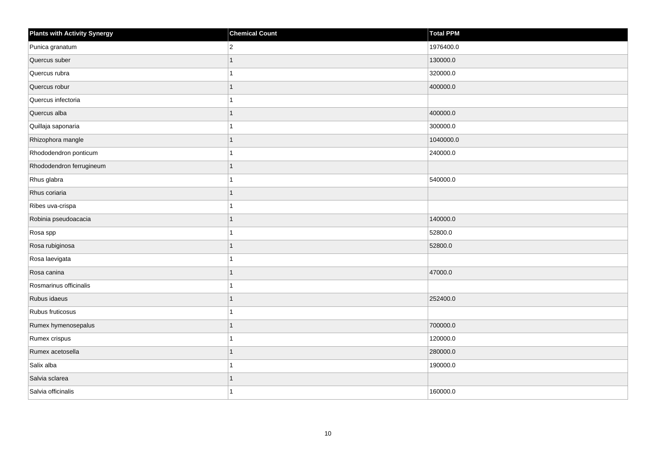| <b>Plants with Activity Synergy</b> | <b>Chemical Count</b> | Total PPM |
|-------------------------------------|-----------------------|-----------|
| Punica granatum                     | $\overline{2}$        | 1976400.0 |
| Quercus suber                       | 1                     | 130000.0  |
| Quercus rubra                       | 1                     | 320000.0  |
| Quercus robur                       | 1                     | 400000.0  |
| Quercus infectoria                  | 1                     |           |
| Quercus alba                        | $\mathbf{1}$          | 400000.0  |
| Quillaja saponaria                  | 1                     | 300000.0  |
| Rhizophora mangle                   | $\mathbf{1}$          | 1040000.0 |
| Rhododendron ponticum               | 1                     | 240000.0  |
| Rhododendron ferrugineum            | $\mathbf{1}$          |           |
| Rhus glabra                         | 1                     | 540000.0  |
| Rhus coriaria                       | 1                     |           |
| Ribes uva-crispa                    | $\overline{1}$        |           |
| Robinia pseudoacacia                | $\mathbf{1}$          | 140000.0  |
| Rosa spp                            | 1                     | 52800.0   |
| Rosa rubiginosa                     | 1                     | 52800.0   |
| Rosa laevigata                      | 1                     |           |
| Rosa canina                         | $\mathbf{1}$          | 47000.0   |
| Rosmarinus officinalis              | $\overline{1}$        |           |
| Rubus idaeus                        | 1                     | 252400.0  |
| Rubus fruticosus                    | 1                     |           |
| Rumex hymenosepalus                 | 1                     | 700000.0  |
| Rumex crispus                       | 1                     | 120000.0  |
| Rumex acetosella                    | 1                     | 280000.0  |
| Salix alba                          | $\mathbf{1}$          | 190000.0  |
| Salvia sclarea                      | 1                     |           |
| Salvia officinalis                  | 1                     | 160000.0  |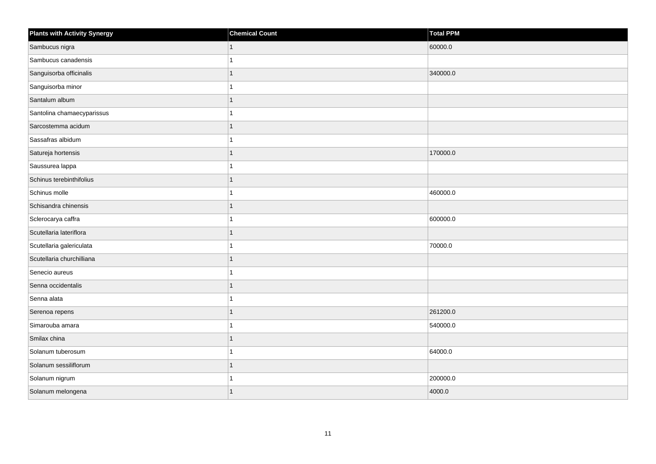| <b>Plants with Activity Synergy</b> | <b>Chemical Count</b> | Total PPM |
|-------------------------------------|-----------------------|-----------|
| Sambucus nigra                      |                       | 60000.0   |
| Sambucus canadensis                 |                       |           |
| Sanguisorba officinalis             |                       | 340000.0  |
| Sanguisorba minor                   |                       |           |
| Santalum album                      |                       |           |
| Santolina chamaecyparissus          |                       |           |
| Sarcostemma acidum                  |                       |           |
| Sassafras albidum                   |                       |           |
| Satureja hortensis                  |                       | 170000.0  |
| Saussurea lappa                     |                       |           |
| Schinus terebinthifolius            |                       |           |
| Schinus molle                       |                       | 460000.0  |
| Schisandra chinensis                |                       |           |
| Sclerocarya caffra                  |                       | 600000.0  |
| Scutellaria lateriflora             |                       |           |
| Scutellaria galericulata            |                       | 70000.0   |
| Scutellaria churchilliana           |                       |           |
| Senecio aureus                      |                       |           |
| Senna occidentalis                  | 1                     |           |
| Senna alata                         |                       |           |
| Serenoa repens                      |                       | 261200.0  |
| Simarouba amara                     |                       | 540000.0  |
| Smilax china                        |                       |           |
| Solanum tuberosum                   |                       | 64000.0   |
| Solanum sessiliflorum               | 1                     |           |
| Solanum nigrum                      |                       | 200000.0  |
| Solanum melongena                   |                       | 4000.0    |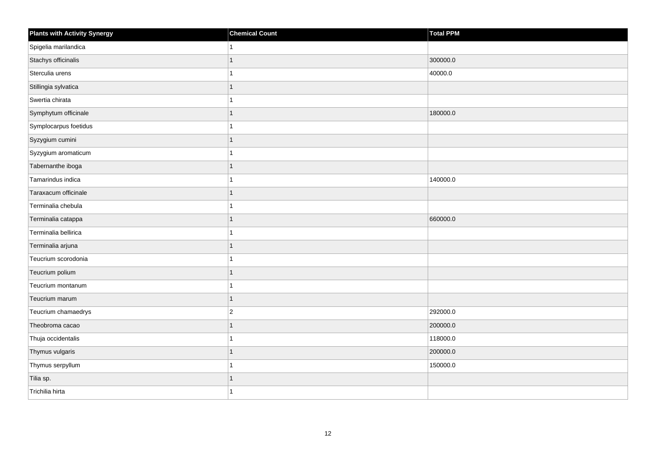| <b>Plants with Activity Synergy</b> | <b>Chemical Count</b> | <b>Total PPM</b> |
|-------------------------------------|-----------------------|------------------|
| Spigelia marilandica                |                       |                  |
| Stachys officinalis                 |                       | 300000.0         |
| Sterculia urens                     |                       | 40000.0          |
| Stillingia sylvatica                |                       |                  |
| Swertia chirata                     |                       |                  |
| Symphytum officinale                |                       | 180000.0         |
| Symplocarpus foetidus               |                       |                  |
| Syzygium cumini                     |                       |                  |
| Syzygium aromaticum                 |                       |                  |
| Tabernanthe iboga                   | 1                     |                  |
| Tamarindus indica                   |                       | 140000.0         |
| Taraxacum officinale                |                       |                  |
| Terminalia chebula                  |                       |                  |
| Terminalia catappa                  |                       | 660000.0         |
| Terminalia bellirica                |                       |                  |
| Terminalia arjuna                   | 1                     |                  |
| Teucrium scorodonia                 |                       |                  |
| Teucrium polium                     |                       |                  |
| Teucrium montanum                   | 1                     |                  |
| Teucrium marum                      |                       |                  |
| Teucrium chamaedrys                 | $\overline{2}$        | 292000.0         |
| Theobroma cacao                     |                       | 200000.0         |
| Thuja occidentalis                  |                       | 118000.0         |
| Thymus vulgaris                     |                       | 200000.0         |
| Thymus serpyllum                    |                       | 150000.0         |
| Tilia sp.                           |                       |                  |
| Trichilia hirta                     |                       |                  |